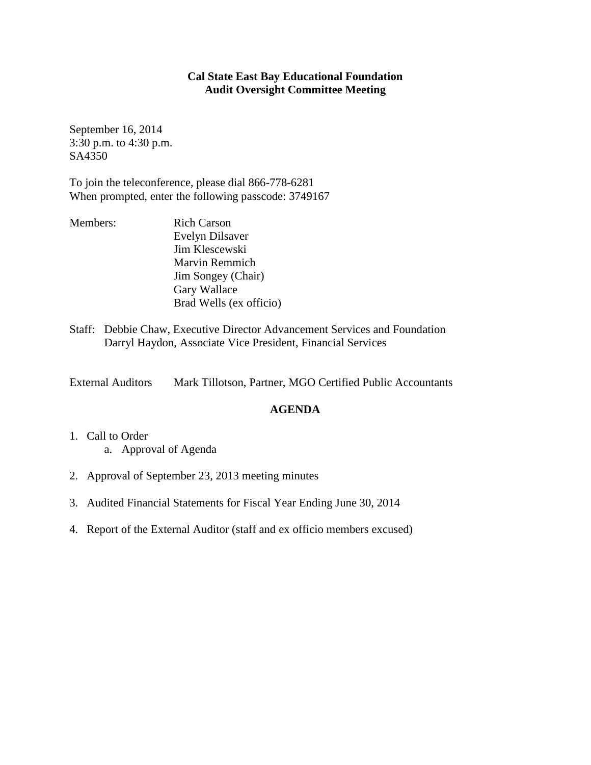## **Cal State East Bay Educational Foundation Audit Oversight Committee Meeting**

September 16, 2014 3:30 p.m. to 4:30 p.m. SA4350

To join the teleconference, please dial 866-778-6281 When prompted, enter the following passcode: 3749167

- Members: Rich Carson Evelyn Dilsaver Jim Klescewski Marvin Remmich Jim Songey (Chair) Gary Wallace Brad Wells (ex officio)
- Staff: Debbie Chaw, Executive Director Advancement Services and Foundation Darryl Haydon, Associate Vice President, Financial Services

External Auditors Mark Tillotson, Partner, MGO Certified Public Accountants

## **AGENDA**

- 1. Call to Order a. Approval of Agenda
- 2. Approval of September 23, 2013 meeting minutes
- 3. Audited Financial Statements for Fiscal Year Ending June 30, 2014
- 4. Report of the External Auditor (staff and ex officio members excused)